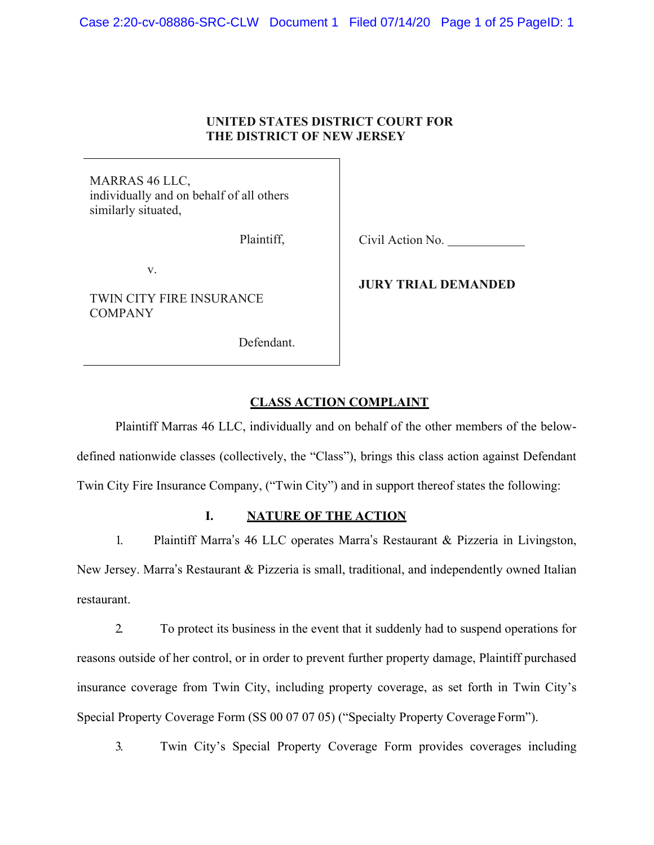## **UNITED STATES DISTRICT COURT FOR THE DISTRICT OF NEW JERSEY**

MARRAS 46 LLC, individually and on behalf of all others similarly situated,

Plaintiff,

v.

TWIN CITY FIRE INSURANCE COMPANY

Defendant.

Civil Action No.

**JURY TRIAL DEMANDED**

# **CLASS ACTION COMPLAINT**

Plaintiff Marras 46 LLC, individually and on behalf of the other members of the belowdefined nationwide classes (collectively, the "Class"), brings this class action against Defendant Twin City Fire Insurance Company, ("Twin City") and in support thereof states the following:

# **I. NATURE OF THE ACTION**

1. Plaintiff Marra's 46 LLC operates Marra's Restaurant & Pizzeria in Livingston, New Jersey. Marra's Restaurant & Pizzeria is small, traditional, and independently owned Italian restaurant.

2. To protect its business in the event that it suddenly had to suspend operations for reasons outside of her control, or in order to prevent further property damage, Plaintiff purchased insurance coverage from Twin City, including property coverage, as set forth in Twin City's Special Property Coverage Form (SS 00 07 07 05) ("Specialty Property Coverage Form").

3. Twin City's Special Property Coverage Form provides coverages including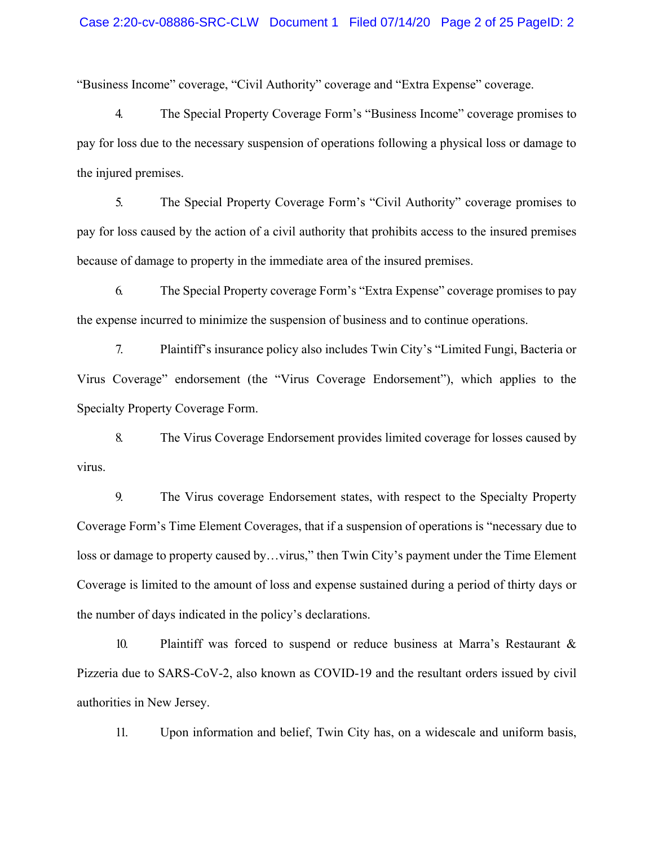"Business Income" coverage, "Civil Authority" coverage and "Extra Expense" coverage.

4. The Special Property Coverage Form's "Business Income" coverage promises to pay for loss due to the necessary suspension of operations following a physical loss or damage to the injured premises.

5. The Special Property Coverage Form's "Civil Authority" coverage promises to pay for loss caused by the action of a civil authority that prohibits access to the insured premises because of damage to property in the immediate area of the insured premises.

6. The Special Property coverage Form's "Extra Expense" coverage promises to pay the expense incurred to minimize the suspension of business and to continue operations.

7. Plaintiff's insurance policy also includes Twin City's "Limited Fungi, Bacteria or Virus Coverage" endorsement (the "Virus Coverage Endorsement"), which applies to the Specialty Property Coverage Form.

8. The Virus Coverage Endorsement provides limited coverage for losses caused by virus.

9. The Virus coverage Endorsement states, with respect to the Specialty Property Coverage Form's Time Element Coverages, that if a suspension of operations is "necessary due to loss or damage to property caused by...virus," then Twin City's payment under the Time Element Coverage is limited to the amount of loss and expense sustained during a period of thirty days or the number of days indicated in the policy's declarations.

10. Plaintiff was forced to suspend or reduce business at Marra's Restaurant & Pizzeria due to SARS-CoV-2, also known as COVID-19 and the resultant orders issued by civil authorities in New Jersey.

11. Upon information and belief, Twin City has, on a widescale and uniform basis,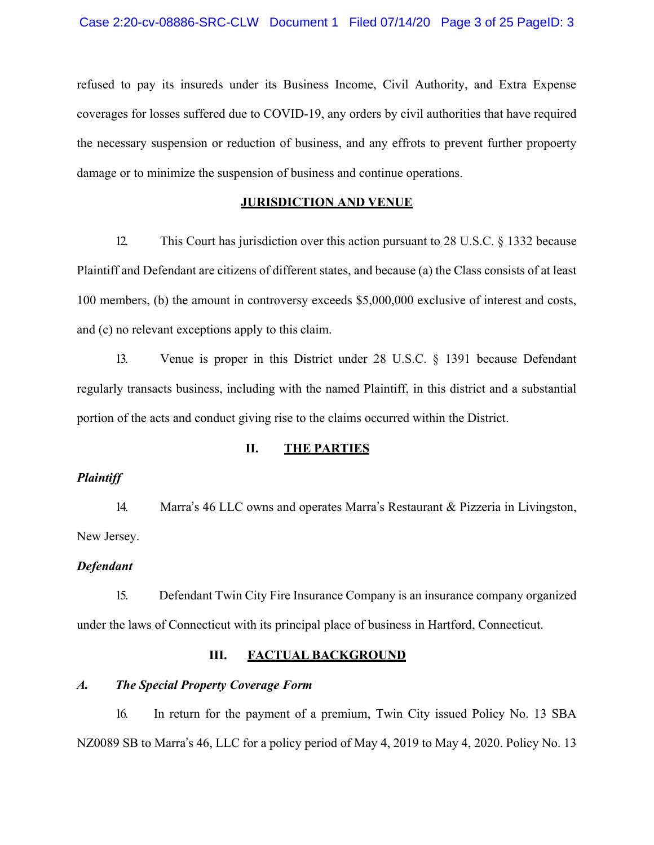refused to pay its insureds under its Business Income, Civil Authority, and Extra Expense coverages for losses suffered due to COVID-19, any orders by civil authorities that have required the necessary suspension or reduction of business, and any effrots to prevent further propoerty damage or to minimize the suspension of business and continue operations.

#### **JURISDICTION AND VENUE**

12. This Court has jurisdiction over this action pursuant to 28 U.S.C. § 1332 because Plaintiff and Defendant are citizens of different states, and because (a) the Class consists of at least 100 members, (b) the amount in controversy exceeds \$5,000,000 exclusive of interest and costs, and (c) no relevant exceptions apply to this claim.

13. Venue is proper in this District under 28 U.S.C. § 1391 because Defendant regularly transacts business, including with the named Plaintiff, in this district and a substantial portion of the acts and conduct giving rise to the claims occurred within the District.

## **II. THE PARTIES**

#### *Plaintiff*

14. Marra's 46 LLC owns and operates Marra's Restaurant & Pizzeria in Livingston, New Jersey.

#### *Defendant*

15. Defendant Twin City Fire Insurance Company is an insurance company organized under the laws of Connecticut with its principal place of business in Hartford, Connecticut.

# **III. FACTUAL BACKGROUND**

#### *A. The Special Property Coverage Form*

16. In return for the payment of a premium, Twin City issued Policy No. 13 SBA NZ0089 SB to Marra's 46, LLC for a policy period of May 4, 2019 to May 4, 2020. Policy No. 13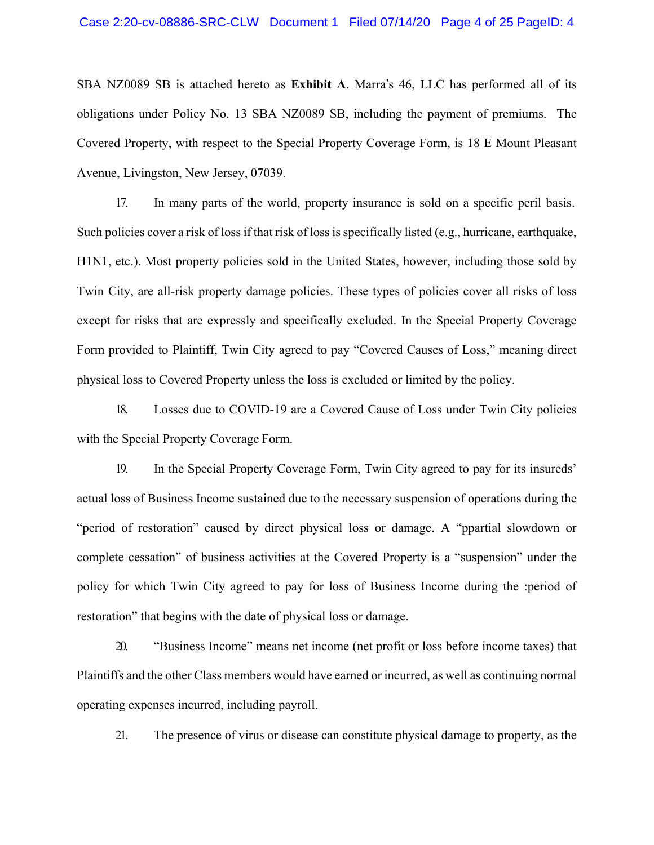SBA NZ0089 SB is attached hereto as **Exhibit A**. Marra's 46, LLC has performed all of its obligations under Policy No. 13 SBA NZ0089 SB, including the payment of premiums. The Covered Property, with respect to the Special Property Coverage Form, is 18 E Mount Pleasant Avenue, Livingston, New Jersey, 07039.

17. In many parts of the world, property insurance is sold on a specific peril basis. Such policies cover a risk of loss if that risk of loss is specifically listed (e.g., hurricane, earthquake, H1N1, etc.). Most property policies sold in the United States, however, including those sold by Twin City, are all-risk property damage policies. These types of policies cover all risks of loss except for risks that are expressly and specifically excluded. In the Special Property Coverage Form provided to Plaintiff, Twin City agreed to pay "Covered Causes of Loss," meaning direct physical loss to Covered Property unless the loss is excluded or limited by the policy.

18. Losses due to COVID-19 are a Covered Cause of Loss under Twin City policies with the Special Property Coverage Form.

19. In the Special Property Coverage Form, Twin City agreed to pay for its insureds' actual loss of Business Income sustained due to the necessary suspension of operations during the "period of restoration" caused by direct physical loss or damage. A "ppartial slowdown or complete cessation" of business activities at the Covered Property is a "suspension" under the policy for which Twin City agreed to pay for loss of Business Income during the :period of restoration" that begins with the date of physical loss or damage.

20. "Business Income" means net income (net profit or loss before income taxes) that Plaintiffs and the other Class members would have earned or incurred, as well as continuing normal operating expenses incurred, including payroll.

21. The presence of virus or disease can constitute physical damage to property, as the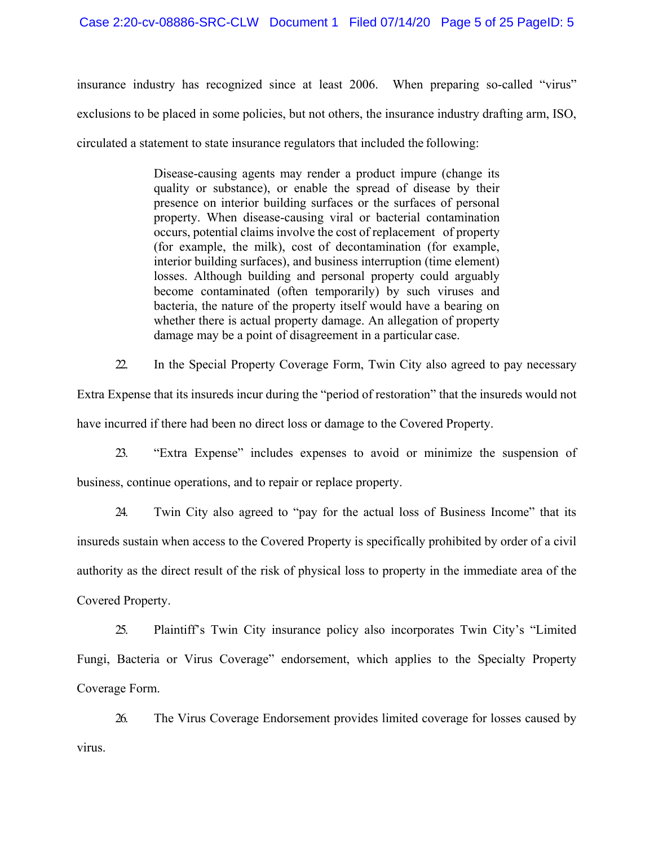insurance industry has recognized since at least 2006. When preparing so-called "virus" exclusions to be placed in some policies, but not others, the insurance industry drafting arm, ISO, circulated a statement to state insurance regulators that included the following:

> Disease-causing agents may render a product impure (change its quality or substance), or enable the spread of disease by their presence on interior building surfaces or the surfaces of personal property. When disease-causing viral or bacterial contamination occurs, potential claims involve the cost of replacement of property (for example, the milk), cost of decontamination (for example, interior building surfaces), and business interruption (time element) losses. Although building and personal property could arguably become contaminated (often temporarily) by such viruses and bacteria, the nature of the property itself would have a bearing on whether there is actual property damage. An allegation of property damage may be a point of disagreement in a particular case.

22. In the Special Property Coverage Form, Twin City also agreed to pay necessary

Extra Expense that its insureds incur during the "period of restoration" that the insureds would not have incurred if there had been no direct loss or damage to the Covered Property.

23. "Extra Expense" includes expenses to avoid or minimize the suspension of business, continue operations, and to repair or replace property.

24. Twin City also agreed to "pay for the actual loss of Business Income" that its insureds sustain when access to the Covered Property is specifically prohibited by order of a civil authority as the direct result of the risk of physical loss to property in the immediate area of the Covered Property.

25. Plaintiff's Twin City insurance policy also incorporates Twin City's "Limited Fungi, Bacteria or Virus Coverage" endorsement, which applies to the Specialty Property Coverage Form.

26. The Virus Coverage Endorsement provides limited coverage for losses caused by virus.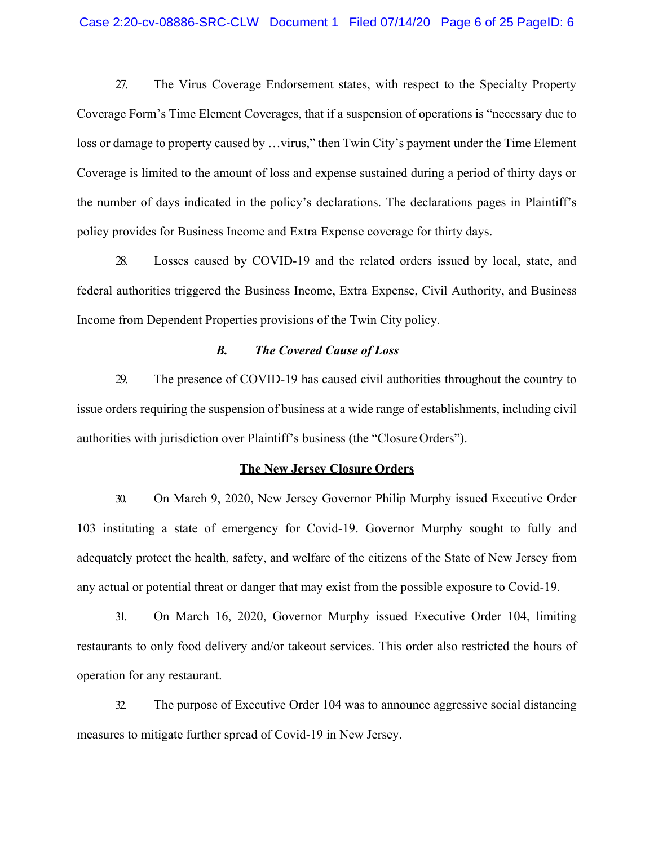27. The Virus Coverage Endorsement states, with respect to the Specialty Property Coverage Form's Time Element Coverages, that if a suspension of operations is "necessary due to loss or damage to property caused by ... virus," then Twin City's payment under the Time Element Coverage is limited to the amount of loss and expense sustained during a period of thirty days or the number of days indicated in the policy's declarations. The declarations pages in Plaintiff's policy provides for Business Income and Extra Expense coverage for thirty days.

28. Losses caused by COVID-19 and the related orders issued by local, state, and federal authorities triggered the Business Income, Extra Expense, Civil Authority, and Business Income from Dependent Properties provisions of the Twin City policy.

#### *B. The Covered Cause of Loss*

29. The presence of COVID-19 has caused civil authorities throughout the country to issue orders requiring the suspension of business at a wide range of establishments, including civil authorities with jurisdiction over Plaintiff's business (the "Closure Orders").

#### **The New Jersey Closure Orders**

30. On March 9, 2020, New Jersey Governor Philip Murphy issued Executive Order 103 instituting a state of emergency for Covid-19. Governor Murphy sought to fully and adequately protect the health, safety, and welfare of the citizens of the State of New Jersey from any actual or potential threat or danger that may exist from the possible exposure to Covid-19.

31. On March 16, 2020, Governor Murphy issued Executive Order 104, limiting restaurants to only food delivery and/or takeout services. This order also restricted the hours of operation for any restaurant.

32. The purpose of Executive Order 104 was to announce aggressive social distancing measures to mitigate further spread of Covid-19 in New Jersey.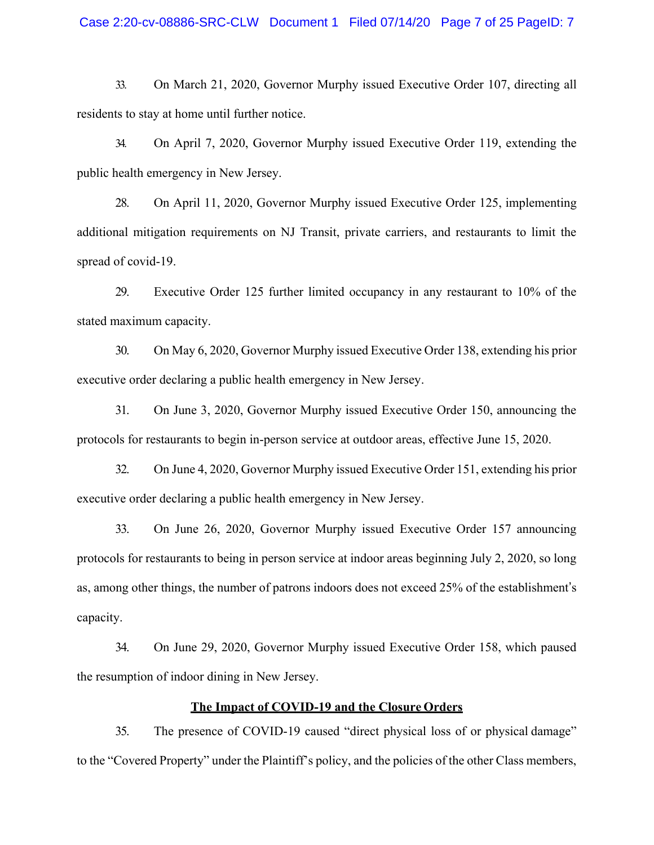#### Case 2:20-cv-08886-SRC-CLW Document 1 Filed 07/14/20 Page 7 of 25 PageID: 7

33. On March 21, 2020, Governor Murphy issued Executive Order 107, directing all residents to stay at home until further notice.

34. On April 7, 2020, Governor Murphy issued Executive Order 119, extending the public health emergency in New Jersey.

28. On April 11, 2020, Governor Murphy issued Executive Order 125, implementing additional mitigation requirements on NJ Transit, private carriers, and restaurants to limit the spread of covid-19.

29. Executive Order 125 further limited occupancy in any restaurant to 10% of the stated maximum capacity.

30. On May 6, 2020, Governor Murphy issued Executive Order 138, extending his prior executive order declaring a public health emergency in New Jersey.

31. On June 3, 2020, Governor Murphy issued Executive Order 150, announcing the protocols for restaurants to begin in-person service at outdoor areas, effective June 15, 2020.

32. On June 4, 2020, Governor Murphy issued Executive Order 151, extending his prior executive order declaring a public health emergency in New Jersey.

33. On June 26, 2020, Governor Murphy issued Executive Order 157 announcing protocols for restaurants to being in person service at indoor areas beginning July 2, 2020, so long as, among other things, the number of patrons indoors does not exceed 25% of the establishment's capacity.

34. On June 29, 2020, Governor Murphy issued Executive Order 158, which paused the resumption of indoor dining in New Jersey.

## **The Impact of COVID-19 and the Closure Orders**

35. The presence of COVID-19 caused "direct physical loss of or physical damage" to the "Covered Property" under the Plaintiff's policy, and the policies of the other Class members,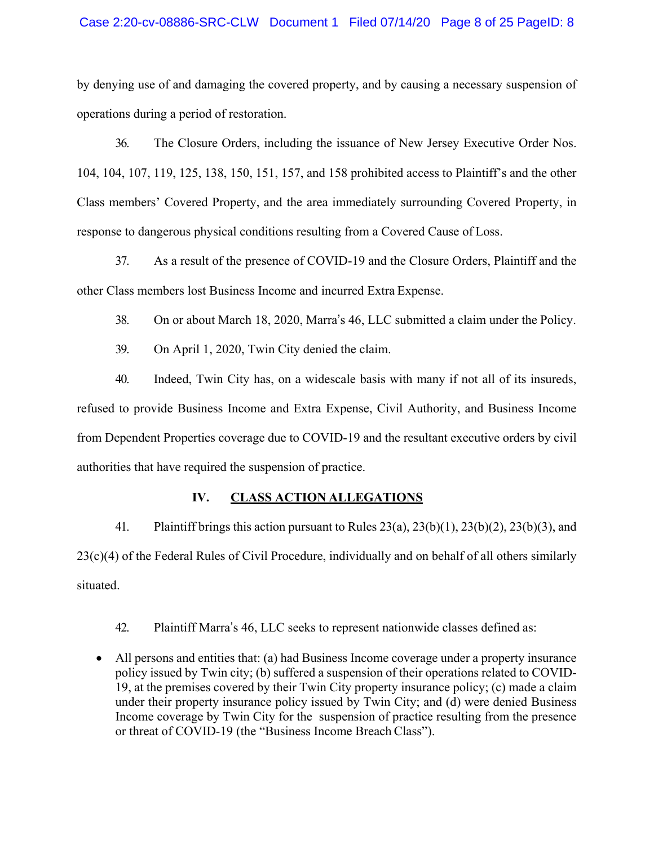#### Case 2:20-cv-08886-SRC-CLW Document 1 Filed 07/14/20 Page 8 of 25 PageID: 8

by denying use of and damaging the covered property, and by causing a necessary suspension of operations during a period of restoration.

36. The Closure Orders, including the issuance of New Jersey Executive Order Nos. 104, 104, 107, 119, 125, 138, 150, 151, 157, and 158 prohibited access to Plaintiff's and the other Class members' Covered Property, and the area immediately surrounding Covered Property, in response to dangerous physical conditions resulting from a Covered Cause of Loss.

37. As a result of the presence of COVID-19 and the Closure Orders, Plaintiff and the other Class members lost Business Income and incurred Extra Expense.

38. On or about March 18, 2020, Marra's 46, LLC submitted a claim under the Policy.

39. On April 1, 2020, Twin City denied the claim.

40. Indeed, Twin City has, on a widescale basis with many if not all of its insureds, refused to provide Business Income and Extra Expense, Civil Authority, and Business Income from Dependent Properties coverage due to COVID-19 and the resultant executive orders by civil authorities that have required the suspension of practice.

# **IV. CLASS ACTION ALLEGATIONS**

41. Plaintiff brings this action pursuant to Rules 23(a), 23(b)(1), 23(b)(2), 23(b)(3), and 23(c)(4) of the Federal Rules of Civil Procedure, individually and on behalf of all others similarly situated.

42. Plaintiff Marra's 46, LLC seeks to represent nationwide classes defined as:

 $\bullet$  All persons and entities that: (a) had Business Income coverage under a property insurance policy issued by Twin city; (b) suffered a suspension of their operations related to COVID-19, at the premises covered by their Twin City property insurance policy; (c) made a claim under their property insurance policy issued by Twin City; and (d) were denied Business Income coverage by Twin City for the suspension of practice resulting from the presence or threat of COVID-19 (the "Business Income Breach Class").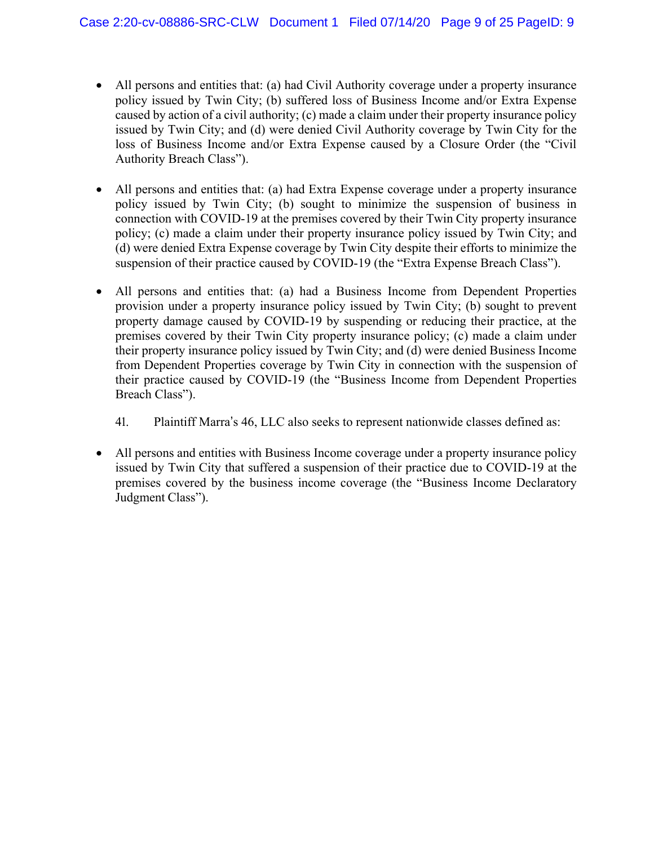- All persons and entities that: (a) had Civil Authority coverage under a property insurance policy issued by Twin City; (b) suffered loss of Business Income and/or Extra Expense caused by action of a civil authority; (c) made a claim under their property insurance policy issued by Twin City; and (d) were denied Civil Authority coverage by Twin City for the loss of Business Income and/or Extra Expense caused by a Closure Order (the "Civil Authority Breach Class").
- All persons and entities that: (a) had Extra Expense coverage under a property insurance policy issued by Twin City; (b) sought to minimize the suspension of business in connection with COVID-19 at the premises covered by their Twin City property insurance policy; (c) made a claim under their property insurance policy issued by Twin City; and (d) were denied Extra Expense coverage by Twin City despite their efforts to minimize the suspension of their practice caused by COVID-19 (the "Extra Expense Breach Class").
- All persons and entities that: (a) had a Business Income from Dependent Properties provision under a property insurance policy issued by Twin City; (b) sought to prevent property damage caused by COVID-19 by suspending or reducing their practice, at the premises covered by their Twin City property insurance policy; (c) made a claim under their property insurance policy issued by Twin City; and (d) were denied Business Income from Dependent Properties coverage by Twin City in connection with the suspension of their practice caused by COVID-19 (the "Business Income from Dependent Properties Breach Class").
	- 41. Plaintiff Marra's 46, LLC also seeks to represent nationwide classes defined as:
- All persons and entities with Business Income coverage under a property insurance policy issued by Twin City that suffered a suspension of their practice due to COVID-19 at the premises covered by the business income coverage (the "Business Income Declaratory Judgment Class").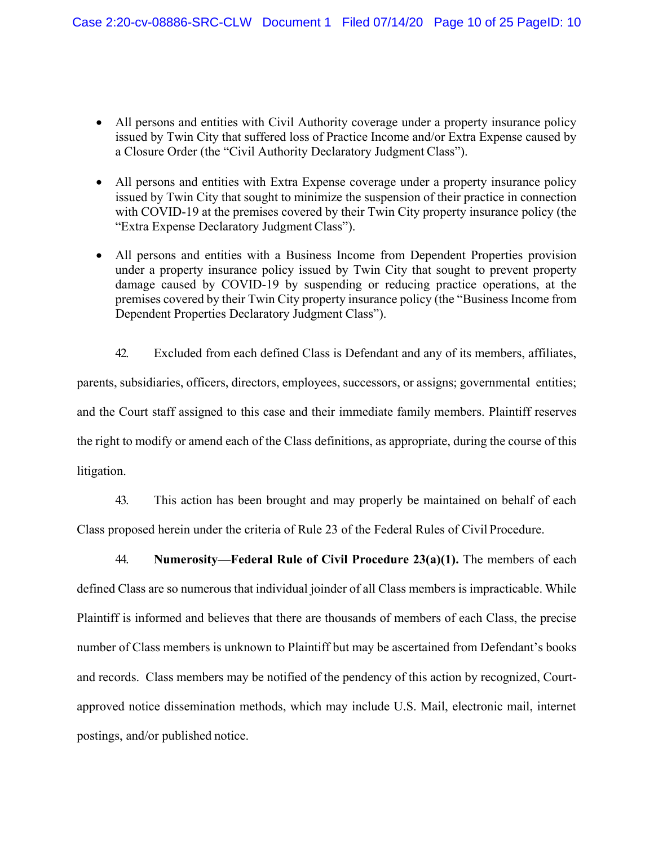- All persons and entities with Civil Authority coverage under a property insurance policy issued by Twin City that suffered loss of Practice Income and/or Extra Expense caused by a Closure Order (the "Civil Authority Declaratory Judgment Class").
- All persons and entities with Extra Expense coverage under a property insurance policy issued by Twin City that sought to minimize the suspension of their practice in connection with COVID-19 at the premises covered by their Twin City property insurance policy (the "Extra Expense Declaratory Judgment Class").
- All persons and entities with a Business Income from Dependent Properties provision under a property insurance policy issued by Twin City that sought to prevent property damage caused by COVID-19 by suspending or reducing practice operations, at the premises covered by their Twin City property insurance policy (the "Business Income from Dependent Properties Declaratory Judgment Class").

42. Excluded from each defined Class is Defendant and any of its members, affiliates, parents, subsidiaries, officers, directors, employees, successors, or assigns; governmental entities; and the Court staff assigned to this case and their immediate family members. Plaintiff reserves the right to modify or amend each of the Class definitions, as appropriate, during the course of this litigation.

43. This action has been brought and may properly be maintained on behalf of each Class proposed herein under the criteria of Rule 23 of the Federal Rules of Civil Procedure.

44. **Numerosity—Federal Rule of Civil Procedure 23(a)(1).** The members of each defined Class are so numerous that individual joinder of all Class members is impracticable. While Plaintiff is informed and believes that there are thousands of members of each Class, the precise number of Class members is unknown to Plaintiff but may be ascertained from Defendant's books and records. Class members may be notified of the pendency of this action by recognized, Courtapproved notice dissemination methods, which may include U.S. Mail, electronic mail, internet postings, and/or published notice.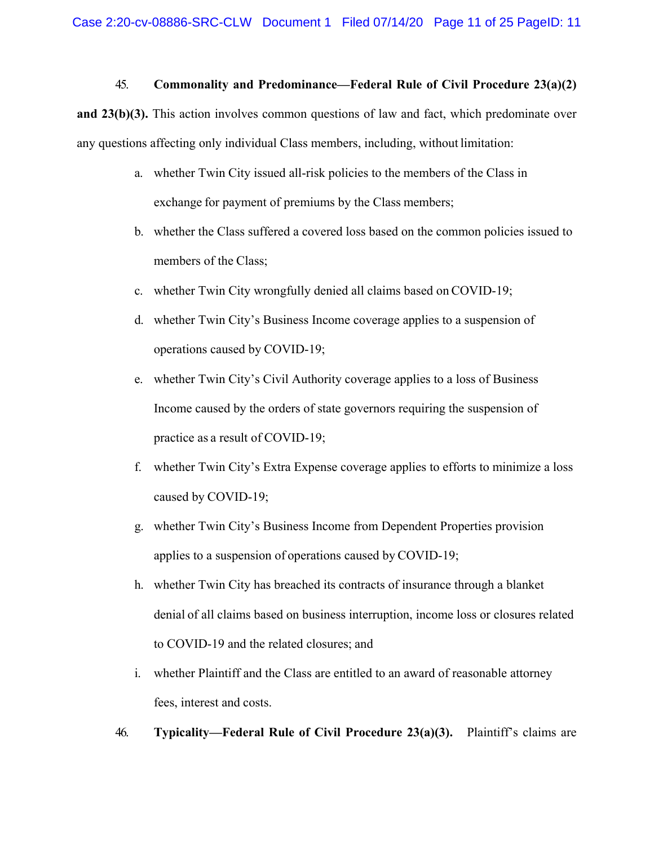## 45. **Commonality and Predominance—Federal Rule of Civil Procedure 23(a)(2)**

**and 23(b)(3).** This action involves common questions of law and fact, which predominate over any questions affecting only individual Class members, including, without limitation:

- a. whether Twin City issued all-risk policies to the members of the Class in exchange for payment of premiums by the Class members;
- b. whether the Class suffered a covered loss based on the common policies issued to members of the Class;
- c. whether Twin City wrongfully denied all claims based on COVID-19;
- d. whether Twin City's Business Income coverage applies to a suspension of operations caused by COVID-19;
- e. whether Twin City's Civil Authority coverage applies to a loss of Business Income caused by the orders of state governors requiring the suspension of practice as a result of COVID-19;
- f. whether Twin City's Extra Expense coverage applies to efforts to minimize a loss caused by COVID-19;
- g. whether Twin City's Business Income from Dependent Properties provision applies to a suspension of operations caused by COVID-19;
- h. whether Twin City has breached its contracts of insurance through a blanket denial of all claims based on business interruption, income loss or closures related to COVID-19 and the related closures; and
- i. whether Plaintiff and the Class are entitled to an award of reasonable attorney fees, interest and costs.
- 46. **Typicality—Federal Rule of Civil Procedure 23(a)(3).** Plaintiff's claims are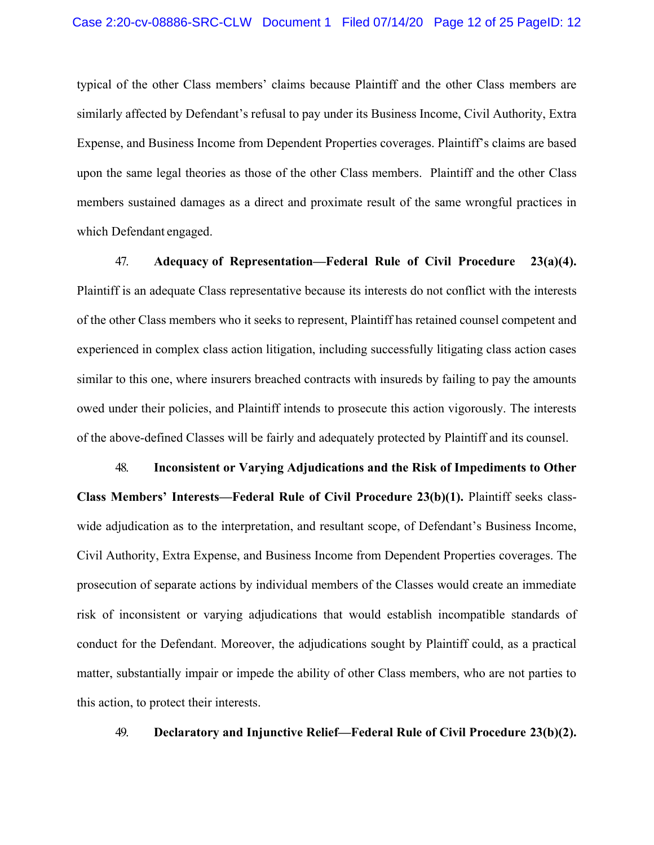typical of the other Class members' claims because Plaintiff and the other Class members are similarly affected by Defendant's refusal to pay under its Business Income, Civil Authority, Extra Expense, and Business Income from Dependent Properties coverages. Plaintiff's claims are based upon the same legal theories as those of the other Class members. Plaintiff and the other Class members sustained damages as a direct and proximate result of the same wrongful practices in which Defendant engaged.

47. **Adequacy of Representation—Federal Rule of Civil Procedure 23(a)(4).** Plaintiff is an adequate Class representative because its interests do not conflict with the interests of the other Class members who it seeks to represent, Plaintiff has retained counsel competent and experienced in complex class action litigation, including successfully litigating class action cases similar to this one, where insurers breached contracts with insureds by failing to pay the amounts owed under their policies, and Plaintiff intends to prosecute this action vigorously. The interests of the above-defined Classes will be fairly and adequately protected by Plaintiff and its counsel.

48. **Inconsistent or Varying Adjudications and the Risk of Impediments to Other Class Members' Interests—Federal Rule of Civil Procedure 23(b)(1).** Plaintiff seeks classwide adjudication as to the interpretation, and resultant scope, of Defendant's Business Income, Civil Authority, Extra Expense, and Business Income from Dependent Properties coverages. The prosecution of separate actions by individual members of the Classes would create an immediate risk of inconsistent or varying adjudications that would establish incompatible standards of conduct for the Defendant. Moreover, the adjudications sought by Plaintiff could, as a practical matter, substantially impair or impede the ability of other Class members, who are not parties to this action, to protect their interests.

49. **Declaratory and Injunctive Relief—Federal Rule of Civil Procedure 23(b)(2).**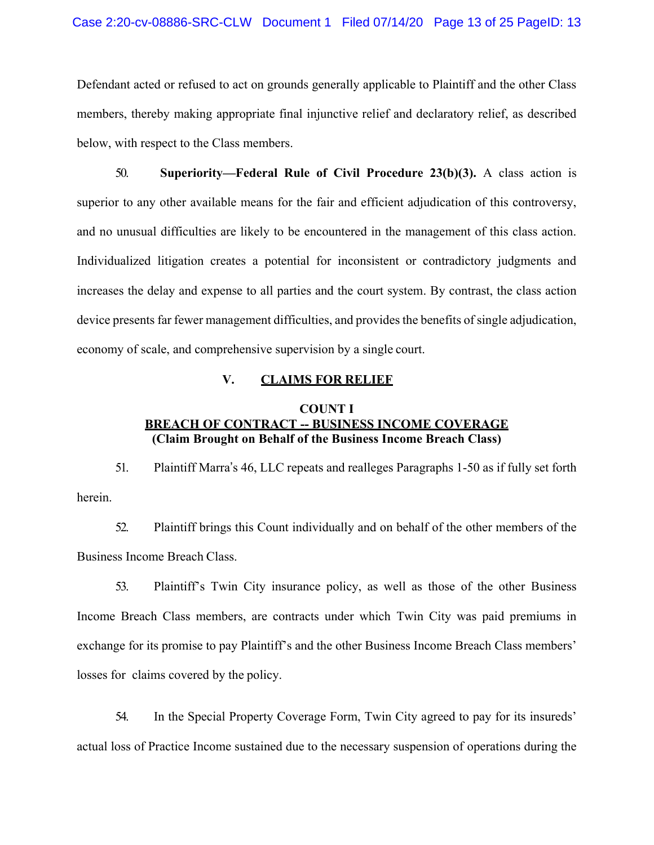Defendant acted or refused to act on grounds generally applicable to Plaintiff and the other Class members, thereby making appropriate final injunctive relief and declaratory relief, as described below, with respect to the Class members.

50. **Superiority—Federal Rule of Civil Procedure 23(b)(3).** A class action is superior to any other available means for the fair and efficient adjudication of this controversy, and no unusual difficulties are likely to be encountered in the management of this class action. Individualized litigation creates a potential for inconsistent or contradictory judgments and increases the delay and expense to all parties and the court system. By contrast, the class action device presents far fewer management difficulties, and provides the benefits of single adjudication, economy of scale, and comprehensive supervision by a single court.

#### **V. CLAIMS FOR RELIEF**

### **COUNT I BREACH OF CONTRACT -- BUSINESS INCOME COVERAGE (Claim Brought on Behalf of the Business Income Breach Class)**

51. Plaintiff Marra's 46, LLC repeats and realleges Paragraphs 1-50 as if fully set forth herein.

52. Plaintiff brings this Count individually and on behalf of the other members of the Business Income Breach Class.

53. Plaintiff's Twin City insurance policy, as well as those of the other Business Income Breach Class members, are contracts under which Twin City was paid premiums in exchange for its promise to pay Plaintiff's and the other Business Income Breach Class members' losses for claims covered by the policy.

54. In the Special Property Coverage Form, Twin City agreed to pay for its insureds' actual loss of Practice Income sustained due to the necessary suspension of operations during the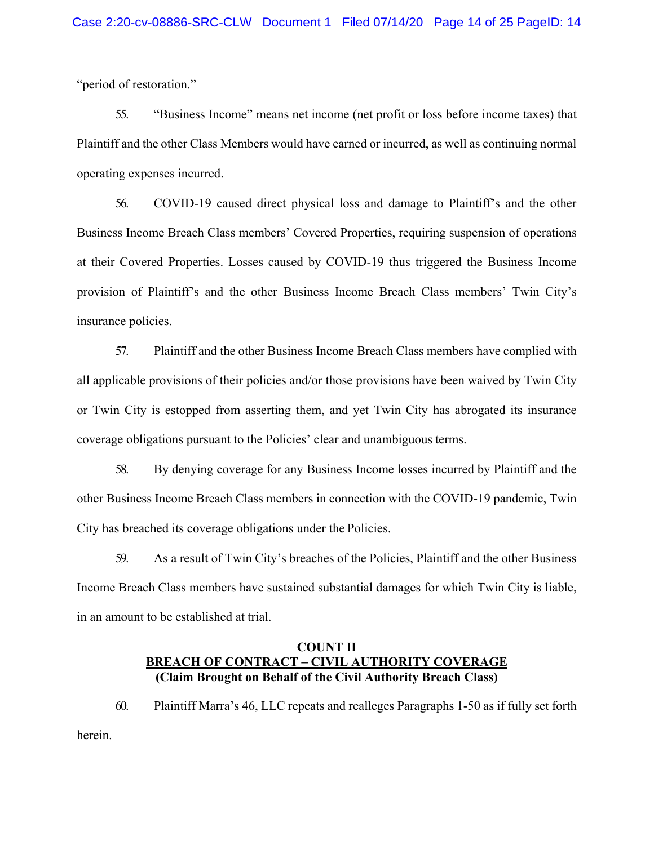"period of restoration."

55. "Business Income" means net income (net profit or loss before income taxes) that Plaintiff and the other Class Members would have earned or incurred, as well as continuing normal operating expenses incurred.

56. COVID-19 caused direct physical loss and damage to Plaintiff's and the other Business Income Breach Class members' Covered Properties, requiring suspension of operations at their Covered Properties. Losses caused by COVID-19 thus triggered the Business Income provision of Plaintiff's and the other Business Income Breach Class members' Twin City's insurance policies.

57. Plaintiff and the other Business Income Breach Class members have complied with all applicable provisions of their policies and/or those provisions have been waived by Twin City or Twin City is estopped from asserting them, and yet Twin City has abrogated its insurance coverage obligations pursuant to the Policies' clear and unambiguous terms.

58. By denying coverage for any Business Income losses incurred by Plaintiff and the other Business Income Breach Class members in connection with the COVID-19 pandemic, Twin City has breached its coverage obligations under the Policies.

59. As a result of Twin City's breaches of the Policies, Plaintiff and the other Business Income Breach Class members have sustained substantial damages for which Twin City is liable, in an amount to be established at trial.

## **COUNT II BREACH OF CONTRACT – CIVIL AUTHORITY COVERAGE (Claim Brought on Behalf of the Civil Authority Breach Class)**

60. Plaintiff Marra's 46, LLC repeats and realleges Paragraphs 1-50 as if fully set forth herein.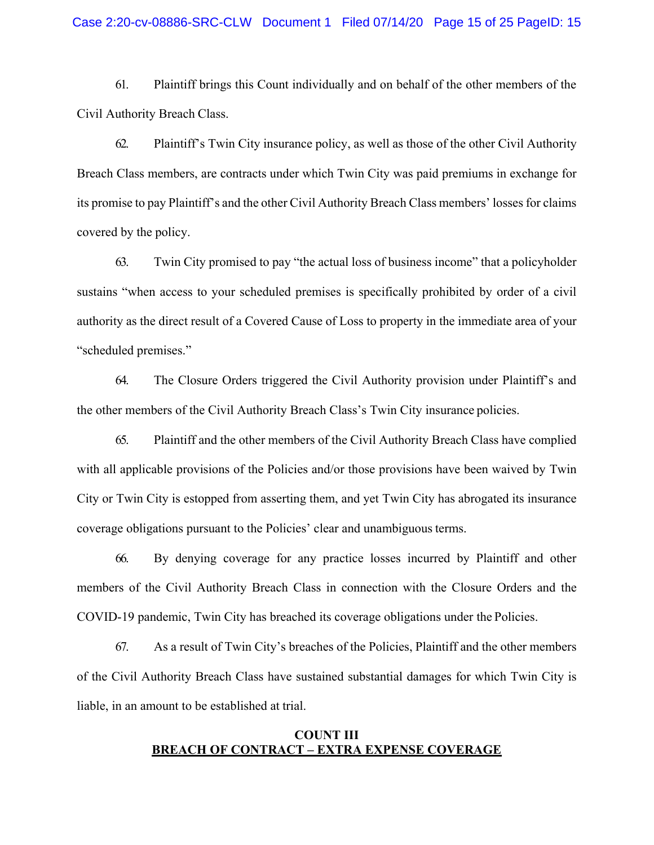#### Case 2:20-cv-08886-SRC-CLW Document 1 Filed 07/14/20 Page 15 of 25 PageID: 15

61. Plaintiff brings this Count individually and on behalf of the other members of the Civil Authority Breach Class.

62. Plaintiff's Twin City insurance policy, as well as those of the other Civil Authority Breach Class members, are contracts under which Twin City was paid premiums in exchange for its promise to pay Plaintiff's and the other Civil Authority Breach Class members' losses for claims covered by the policy.

63. Twin City promised to pay "the actual loss of business income" that a policyholder sustains "when access to your scheduled premises is specifically prohibited by order of a civil authority as the direct result of a Covered Cause of Loss to property in the immediate area of your "scheduled premises."

64. The Closure Orders triggered the Civil Authority provision under Plaintiff's and the other members of the Civil Authority Breach Class's Twin City insurance policies.

65. Plaintiff and the other members of the Civil Authority Breach Class have complied with all applicable provisions of the Policies and/or those provisions have been waived by Twin City or Twin City is estopped from asserting them, and yet Twin City has abrogated its insurance coverage obligations pursuant to the Policies' clear and unambiguous terms.

66. By denying coverage for any practice losses incurred by Plaintiff and other members of the Civil Authority Breach Class in connection with the Closure Orders and the COVID-19 pandemic, Twin City has breached its coverage obligations under the Policies.

67. As a result of Twin City's breaches of the Policies, Plaintiff and the other members of the Civil Authority Breach Class have sustained substantial damages for which Twin City is liable, in an amount to be established at trial.

## **COUNT III BREACH OF CONTRACT – EXTRA EXPENSE COVERAGE**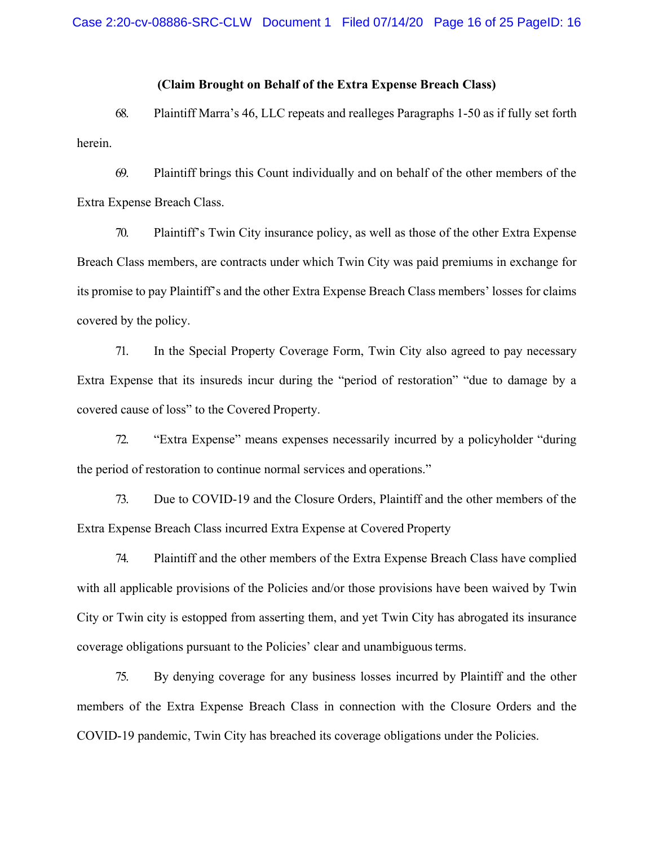## **(Claim Brought on Behalf of the Extra Expense Breach Class)**

68. Plaintiff Marra's 46, LLC repeats and realleges Paragraphs 1-50 as if fully set forth herein.

69. Plaintiff brings this Count individually and on behalf of the other members of the Extra Expense Breach Class.

70. Plaintiff's Twin City insurance policy, as well as those of the other Extra Expense Breach Class members, are contracts under which Twin City was paid premiums in exchange for its promise to pay Plaintiff's and the other Extra Expense Breach Class members' losses for claims covered by the policy.

71. In the Special Property Coverage Form, Twin City also agreed to pay necessary Extra Expense that its insureds incur during the "period of restoration" "due to damage by a covered cause of loss" to the Covered Property.

72. "Extra Expense" means expenses necessarily incurred by a policyholder "during the period of restoration to continue normal services and operations."

73. Due to COVID-19 and the Closure Orders, Plaintiff and the other members of the Extra Expense Breach Class incurred Extra Expense at Covered Property

74. Plaintiff and the other members of the Extra Expense Breach Class have complied with all applicable provisions of the Policies and/or those provisions have been waived by Twin City or Twin city is estopped from asserting them, and yet Twin City has abrogated its insurance coverage obligations pursuant to the Policies' clear and unambiguousterms.

75. By denying coverage for any business losses incurred by Plaintiff and the other members of the Extra Expense Breach Class in connection with the Closure Orders and the COVID-19 pandemic, Twin City has breached its coverage obligations under the Policies.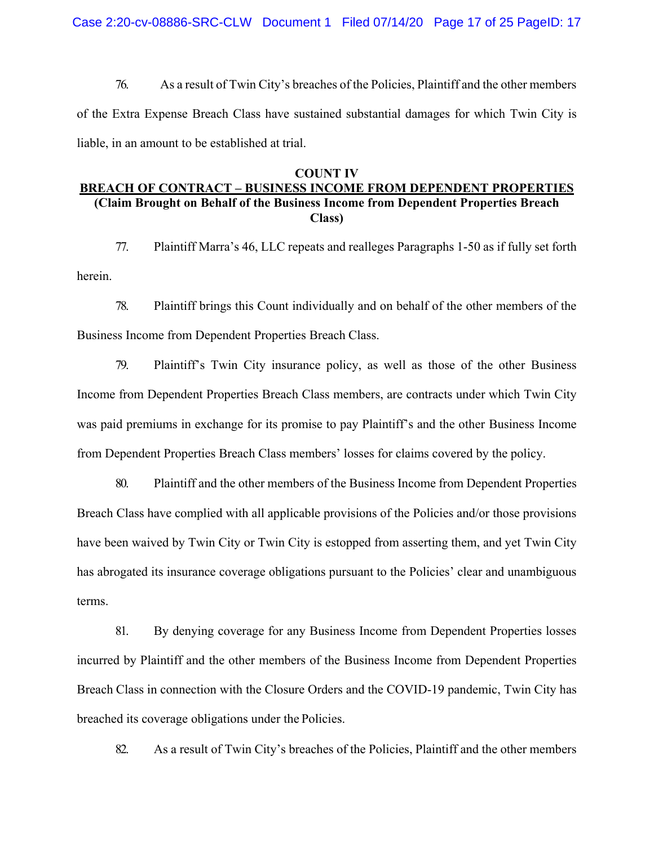Case 2:20-cv-08886-SRC-CLW Document 1 Filed 07/14/20 Page 17 of 25 PageID: 17

76. As a result of Twin City's breaches of the Policies, Plaintiff and the other members of the Extra Expense Breach Class have sustained substantial damages for which Twin City is liable, in an amount to be established at trial.

#### **COUNT IV**

#### **BREACH OF CONTRACT – BUSINESS INCOME FROM DEPENDENT PROPERTIES (Claim Brought on Behalf of the Business Income from Dependent Properties Breach Class)**

77. Plaintiff Marra's 46, LLC repeats and realleges Paragraphs 1-50 as if fully set forth herein.

78. Plaintiff brings this Count individually and on behalf of the other members of the Business Income from Dependent Properties Breach Class.

79. Plaintiff's Twin City insurance policy, as well as those of the other Business Income from Dependent Properties Breach Class members, are contracts under which Twin City was paid premiums in exchange for its promise to pay Plaintiff's and the other Business Income from Dependent Properties Breach Class members' losses for claims covered by the policy.

80. Plaintiff and the other members of the Business Income from Dependent Properties Breach Class have complied with all applicable provisions of the Policies and/or those provisions have been waived by Twin City or Twin City is estopped from asserting them, and yet Twin City has abrogated its insurance coverage obligations pursuant to the Policies' clear and unambiguous terms.

81. By denying coverage for any Business Income from Dependent Properties losses incurred by Plaintiff and the other members of the Business Income from Dependent Properties Breach Class in connection with the Closure Orders and the COVID-19 pandemic, Twin City has breached its coverage obligations under the Policies.

82. As a result of Twin City's breaches of the Policies, Plaintiff and the other members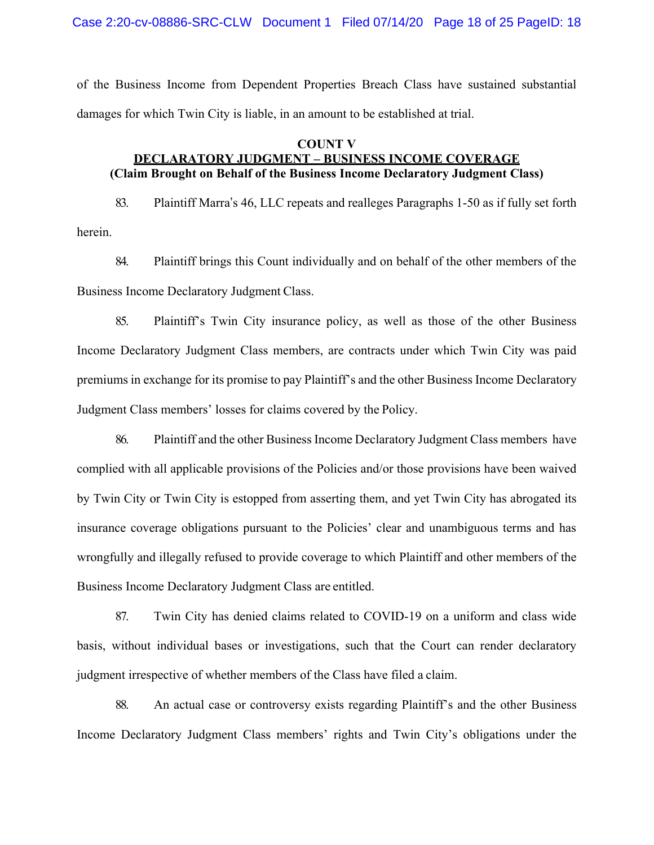Case 2:20-cv-08886-SRC-CLW Document 1 Filed 07/14/20 Page 18 of 25 PageID: 18

of the Business Income from Dependent Properties Breach Class have sustained substantial damages for which Twin City is liable, in an amount to be established at trial.

## **COUNT V DECLARATORY JUDGMENT – BUSINESS INCOME COVERAGE (Claim Brought on Behalf of the Business Income Declaratory Judgment Class)**

83. Plaintiff Marra's 46, LLC repeats and realleges Paragraphs 1-50 as if fully set forth herein.

84. Plaintiff brings this Count individually and on behalf of the other members of the Business Income Declaratory Judgment Class.

85. Plaintiff's Twin City insurance policy, as well as those of the other Business Income Declaratory Judgment Class members, are contracts under which Twin City was paid premiums in exchange for its promise to pay Plaintiff's and the other Business Income Declaratory Judgment Class members' losses for claims covered by the Policy.

86. Plaintiff and the other Business Income Declaratory Judgment Class members have complied with all applicable provisions of the Policies and/or those provisions have been waived by Twin City or Twin City is estopped from asserting them, and yet Twin City has abrogated its insurance coverage obligations pursuant to the Policies' clear and unambiguous terms and has wrongfully and illegally refused to provide coverage to which Plaintiff and other members of the Business Income Declaratory Judgment Class are entitled.

87. Twin City has denied claims related to COVID-19 on a uniform and class wide basis, without individual bases or investigations, such that the Court can render declaratory judgment irrespective of whether members of the Class have filed a claim.

88. An actual case or controversy exists regarding Plaintiff's and the other Business Income Declaratory Judgment Class members' rights and Twin City's obligations under the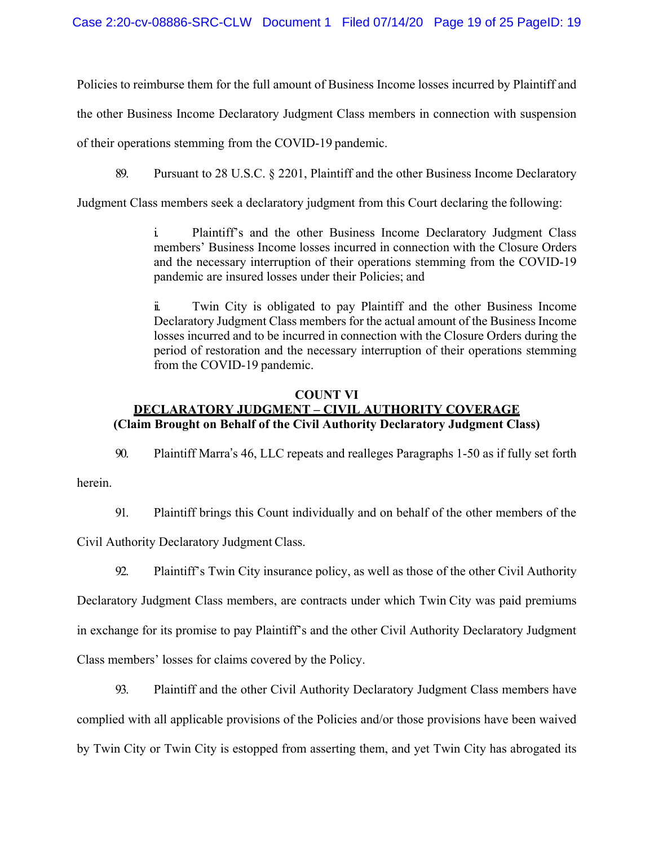Policies to reimburse them for the full amount of Business Income losses incurred by Plaintiff and

the other Business Income Declaratory Judgment Class members in connection with suspension

of their operations stemming from the COVID-19 pandemic.

89. Pursuant to 28 U.S.C. § 2201, Plaintiff and the other Business Income Declaratory

Judgment Class members seek a declaratory judgment from this Court declaring the following:

i. Plaintiff's and the other Business Income Declaratory Judgment Class members' Business Income losses incurred in connection with the Closure Orders and the necessary interruption of their operations stemming from the COVID-19 pandemic are insured losses under their Policies; and

ii. Twin City is obligated to pay Plaintiff and the other Business Income Declaratory Judgment Class members for the actual amount of the Business Income losses incurred and to be incurred in connection with the Closure Orders during the period of restoration and the necessary interruption of their operations stemming from the COVID-19 pandemic.

# **COUNT VI**

# **DECLARATORY JUDGMENT – CIVIL AUTHORITY COVERAGE (Claim Brought on Behalf of the Civil Authority Declaratory Judgment Class)**

90. Plaintiff Marra's 46, LLC repeats and realleges Paragraphs 1-50 as if fully set forth

herein.

91. Plaintiff brings this Count individually and on behalf of the other members of the

Civil Authority Declaratory Judgment Class.

92. Plaintiff's Twin City insurance policy, as well as those of the other Civil Authority

Declaratory Judgment Class members, are contracts under which Twin City was paid premiums in exchange for its promise to pay Plaintiff's and the other Civil Authority Declaratory Judgment Class members' losses for claims covered by the Policy.

93. Plaintiff and the other Civil Authority Declaratory Judgment Class members have complied with all applicable provisions of the Policies and/or those provisions have been waived by Twin City or Twin City is estopped from asserting them, and yet Twin City has abrogated its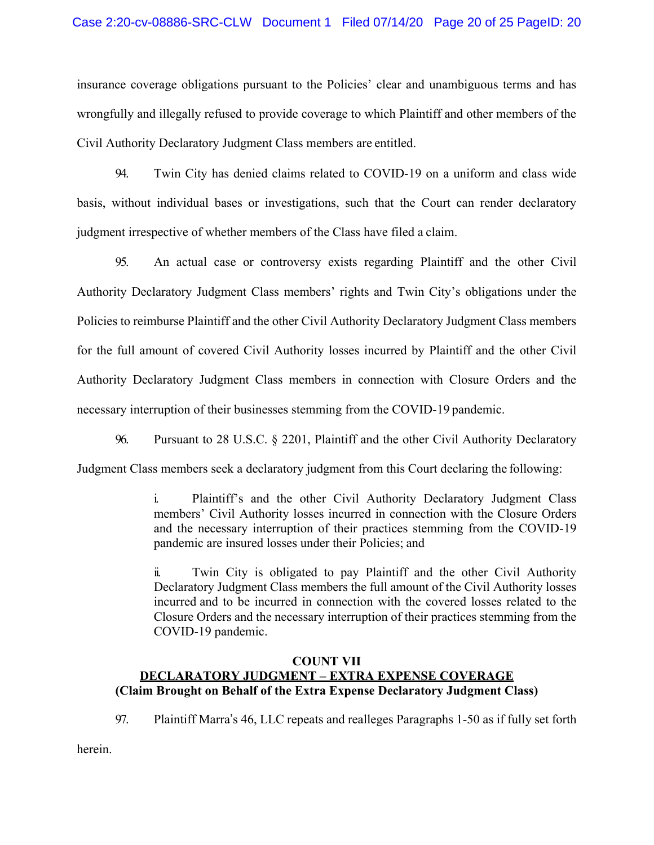insurance coverage obligations pursuant to the Policies' clear and unambiguous terms and has wrongfully and illegally refused to provide coverage to which Plaintiff and other members of the Civil Authority Declaratory Judgment Class members are entitled.

94. Twin City has denied claims related to COVID-19 on a uniform and class wide basis, without individual bases or investigations, such that the Court can render declaratory judgment irrespective of whether members of the Class have filed a claim.

95. An actual case or controversy exists regarding Plaintiff and the other Civil Authority Declaratory Judgment Class members' rights and Twin City's obligations under the Policies to reimburse Plaintiff and the other Civil Authority Declaratory Judgment Class members for the full amount of covered Civil Authority losses incurred by Plaintiff and the other Civil Authority Declaratory Judgment Class members in connection with Closure Orders and the necessary interruption of their businesses stemming from the COVID-19 pandemic.

96. Pursuant to 28 U.S.C. § 2201, Plaintiff and the other Civil Authority Declaratory

Judgment Class members seek a declaratory judgment from this Court declaring the following:

i. Plaintiff's and the other Civil Authority Declaratory Judgment Class members' Civil Authority losses incurred in connection with the Closure Orders and the necessary interruption of their practices stemming from the COVID-19 pandemic are insured losses under their Policies; and

ii. Twin City is obligated to pay Plaintiff and the other Civil Authority Declaratory Judgment Class members the full amount of the Civil Authority losses incurred and to be incurred in connection with the covered losses related to the Closure Orders and the necessary interruption of their practices stemming from the COVID-19 pandemic.

# **COUNT VII DECLARATORY JUDGMENT – EXTRA EXPENSE COVERAGE (Claim Brought on Behalf of the Extra Expense Declaratory Judgment Class)**

97. Plaintiff Marra's 46, LLC repeats and realleges Paragraphs 1-50 as if fully set forth

herein.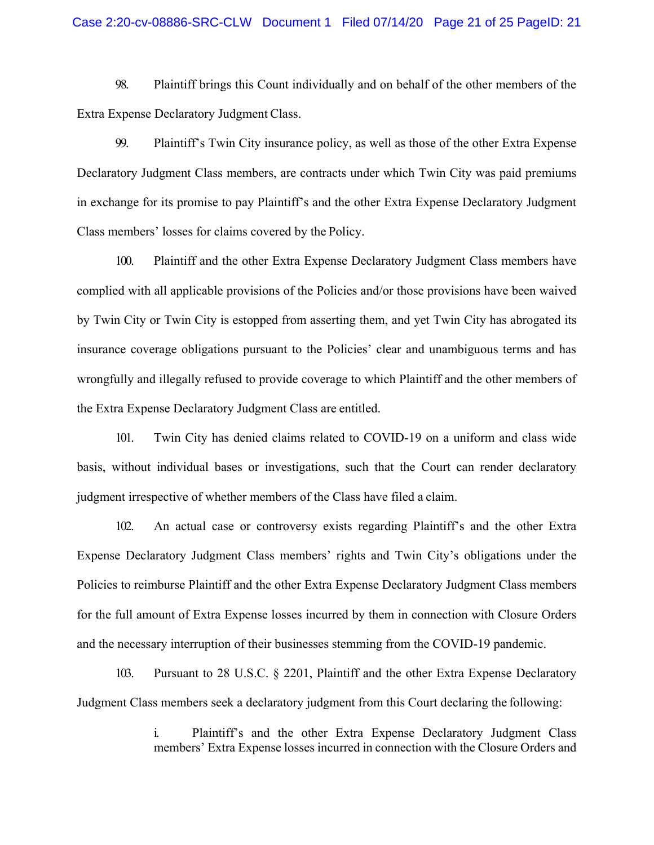#### Case 2:20-cv-08886-SRC-CLW Document 1 Filed 07/14/20 Page 21 of 25 PageID: 21

98. Plaintiff brings this Count individually and on behalf of the other members of the Extra Expense Declaratory Judgment Class.

99. Plaintiff's Twin City insurance policy, as well as those of the other Extra Expense Declaratory Judgment Class members, are contracts under which Twin City was paid premiums in exchange for its promise to pay Plaintiff's and the other Extra Expense Declaratory Judgment Class members' losses for claims covered by the Policy.

100. Plaintiff and the other Extra Expense Declaratory Judgment Class members have complied with all applicable provisions of the Policies and/or those provisions have been waived by Twin City or Twin City is estopped from asserting them, and yet Twin City has abrogated its insurance coverage obligations pursuant to the Policies' clear and unambiguous terms and has wrongfully and illegally refused to provide coverage to which Plaintiff and the other members of the Extra Expense Declaratory Judgment Class are entitled.

101. Twin City has denied claims related to COVID-19 on a uniform and class wide basis, without individual bases or investigations, such that the Court can render declaratory judgment irrespective of whether members of the Class have filed a claim.

102. An actual case or controversy exists regarding Plaintiff's and the other Extra Expense Declaratory Judgment Class members' rights and Twin City's obligations under the Policies to reimburse Plaintiff and the other Extra Expense Declaratory Judgment Class members for the full amount of Extra Expense losses incurred by them in connection with Closure Orders and the necessary interruption of their businesses stemming from the COVID-19 pandemic.

103. Pursuant to 28 U.S.C. § 2201, Plaintiff and the other Extra Expense Declaratory Judgment Class members seek a declaratory judgment from this Court declaring the following:

> i. Plaintiff's and the other Extra Expense Declaratory Judgment Class members' Extra Expense losses incurred in connection with the Closure Orders and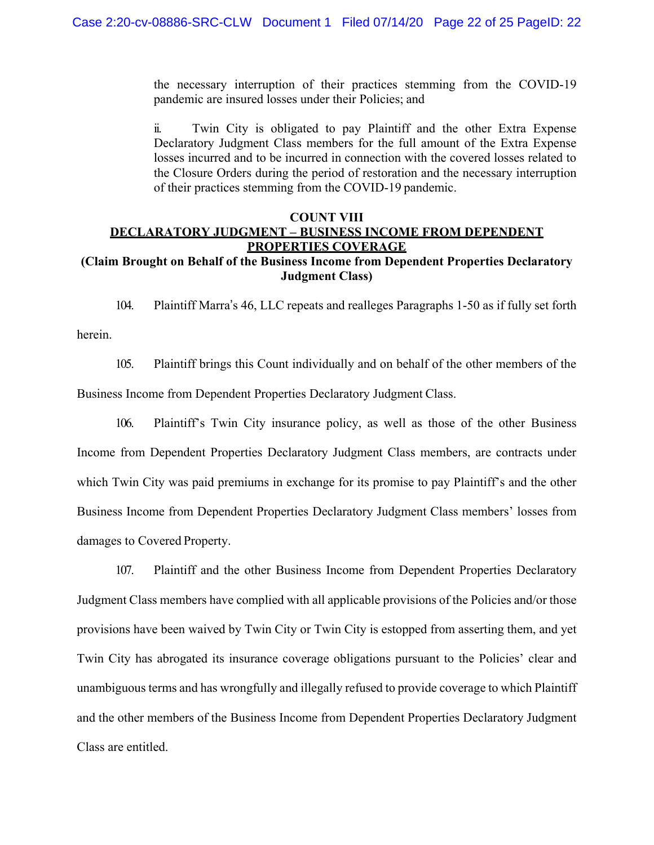the necessary interruption of their practices stemming from the COVID-19 pandemic are insured losses under their Policies; and

ii. Twin City is obligated to pay Plaintiff and the other Extra Expense Declaratory Judgment Class members for the full amount of the Extra Expense losses incurred and to be incurred in connection with the covered losses related to the Closure Orders during the period of restoration and the necessary interruption of their practices stemming from the COVID-19 pandemic.

## **COUNT VIII DECLARATORY JUDGMENT – BUSINESS INCOME FROM DEPENDENT PROPERTIES COVERAGE**

## **(Claim Brought on Behalf of the Business Income from Dependent Properties Declaratory Judgment Class)**

104. Plaintiff Marra's 46, LLC repeats and realleges Paragraphs 1-50 as if fully set forth herein.

105. Plaintiff brings this Count individually and on behalf of the other members of the Business Income from Dependent Properties Declaratory Judgment Class.

106. Plaintiff's Twin City insurance policy, as well as those of the other Business Income from Dependent Properties Declaratory Judgment Class members, are contracts under which Twin City was paid premiums in exchange for its promise to pay Plaintiff's and the other Business Income from Dependent Properties Declaratory Judgment Class members' losses from damages to Covered Property.

107. Plaintiff and the other Business Income from Dependent Properties Declaratory Judgment Class members have complied with all applicable provisions of the Policies and/or those provisions have been waived by Twin City or Twin City is estopped from asserting them, and yet Twin City has abrogated its insurance coverage obligations pursuant to the Policies' clear and unambiguous terms and has wrongfully and illegally refused to provide coverage to which Plaintiff and the other members of the Business Income from Dependent Properties Declaratory Judgment Class are entitled.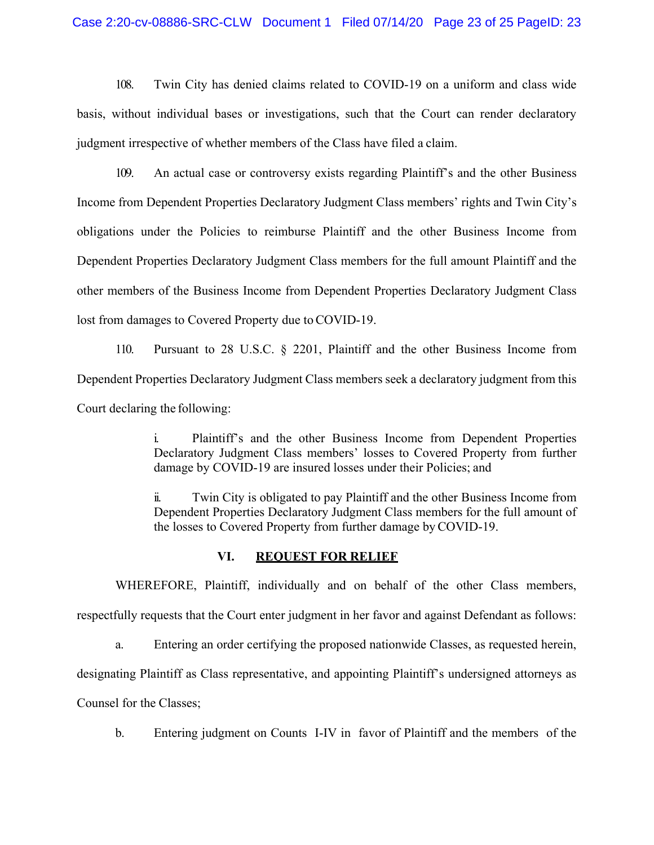108. Twin City has denied claims related to COVID-19 on a uniform and class wide basis, without individual bases or investigations, such that the Court can render declaratory judgment irrespective of whether members of the Class have filed a claim.

109. An actual case or controversy exists regarding Plaintiff's and the other Business Income from Dependent Properties Declaratory Judgment Class members' rights and Twin City's obligations under the Policies to reimburse Plaintiff and the other Business Income from Dependent Properties Declaratory Judgment Class members for the full amount Plaintiff and the other members of the Business Income from Dependent Properties Declaratory Judgment Class lost from damages to Covered Property due to COVID-19.

110. Pursuant to 28 U.S.C. § 2201, Plaintiff and the other Business Income from Dependent Properties Declaratory Judgment Class members seek a declaratory judgment from this Court declaring the following:

> i. Plaintiff's and the other Business Income from Dependent Properties Declaratory Judgment Class members' losses to Covered Property from further damage by COVID-19 are insured losses under their Policies; and

> ii. Twin City is obligated to pay Plaintiff and the other Business Income from Dependent Properties Declaratory Judgment Class members for the full amount of the losses to Covered Property from further damage byCOVID-19.

#### **VI. REQUEST FOR RELIEF**

WHEREFORE, Plaintiff, individually and on behalf of the other Class members, respectfully requests that the Court enter judgment in her favor and against Defendant as follows:

a. Entering an order certifying the proposed nationwide Classes, as requested herein,

designating Plaintiff as Class representative, and appointing Plaintiff's undersigned attorneys as

Counsel for the Classes;

b. Entering judgment on Counts I-IV in favor of Plaintiff and the members of the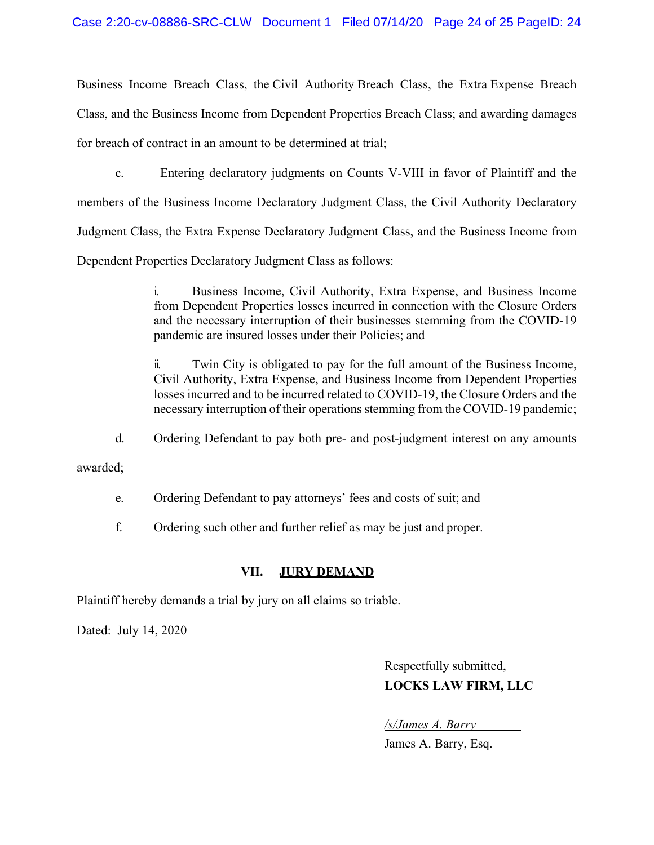Business Income Breach Class, the Civil Authority Breach Class, the Extra Expense Breach Class, and the Business Income from Dependent Properties Breach Class; and awarding damages for breach of contract in an amount to be determined at trial;

c. Entering declaratory judgments on Counts V-VIII in favor of Plaintiff and the members of the Business Income Declaratory Judgment Class, the Civil Authority Declaratory Judgment Class, the Extra Expense Declaratory Judgment Class, and the Business Income from Dependent Properties Declaratory Judgment Class as follows:

> i. Business Income, Civil Authority, Extra Expense, and Business Income from Dependent Properties losses incurred in connection with the Closure Orders and the necessary interruption of their businesses stemming from the COVID-19 pandemic are insured losses under their Policies; and

> ii. Twin City is obligated to pay for the full amount of the Business Income, Civil Authority, Extra Expense, and Business Income from Dependent Properties losses incurred and to be incurred related to COVID-19, the Closure Orders and the necessary interruption of their operations stemming from the COVID-19 pandemic;

d. Ordering Defendant to pay both pre- and post-judgment interest on any amounts

awarded;

e. Ordering Defendant to pay attorneys' fees and costs of suit; and

f. Ordering such other and further relief as may be just and proper.

# **VII. JURY DEMAND**

Plaintiff hereby demands a trial by jury on all claims so triable.

Dated: July 14, 2020

Respectfully submitted, **LOCKS LAW FIRM, LLC**

*/s/James A. Barry\_\_\_\_\_\_\_*

James A. Barry, Esq.